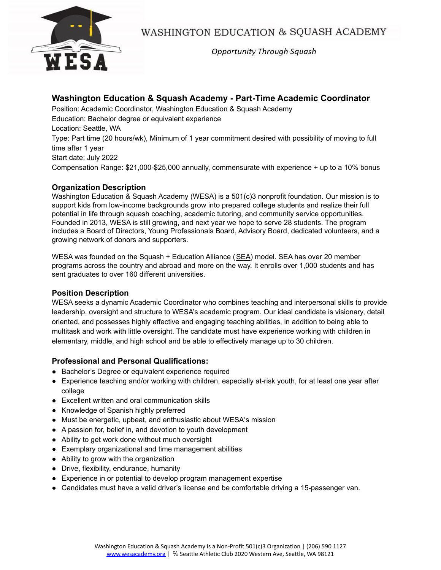

WASHINGTON EDUCATION & SQUASH ACADEMY

**Opportunity Through Squash** 

# **Washington Education & Squash Academy - Part-Time Academic Coordinator**

Position: Academic Coordinator, Washington Education & Squash Academy Education: Bachelor degree or equivalent experience Location: Seattle, WA Type: Part time (20 hours/wk), Minimum of 1 year commitment desired with possibility of moving to full time after 1 year Start date: July 2022 Compensation Range: \$21,000-\$25,000 annually, commensurate with experience + up to a 10% bonus

# **Organization Description**

Washington Education & Squash Academy (WESA) is a 501(c)3 nonprofit foundation. Our mission is to support kids from low-income backgrounds grow into prepared college students and realize their full potential in life through squash coaching, academic tutoring, and community service opportunities. Founded in 2013, WESA is still growing, and next year we hope to serve 28 students. The program includes a Board of Directors, Young Professionals Board, Advisory Board, dedicated volunteers, and a growing network of donors and supporters.

WESA was founded on the Squash + Education Alliance ([SEA\)](https://squashandeducation.org/) model. SEA has over 20 member programs across the country and abroad and more on the way. It enrolls over 1,000 students and has sent graduates to over 160 different universities.

## **Position Description**

WESA seeks a dynamic Academic Coordinator who combines teaching and interpersonal skills to provide leadership, oversight and structure to WESA's academic program. Our ideal candidate is visionary, detail oriented, and possesses highly effective and engaging teaching abilities, in addition to being able to multitask and work with little oversight. The candidate must have experience working with children in elementary, middle, and high school and be able to effectively manage up to 30 children.

## **Professional and Personal Qualifications:**

- Bachelor's Degree or equivalent experience required
- Experience teaching and/or working with children, especially at-risk youth, for at least one year after college
- Excellent written and oral communication skills
- Knowledge of Spanish highly preferred
- Must be energetic, upbeat, and enthusiastic about WESA's mission
- A passion for, belief in, and devotion to youth development
- Ability to get work done without much oversight
- Exemplary organizational and time management abilities
- Ability to grow with the organization
- Drive, flexibility, endurance, humanity
- Experience in or potential to develop program management expertise
- Candidates must have a valid driver's license and be comfortable driving a 15-passenger van.